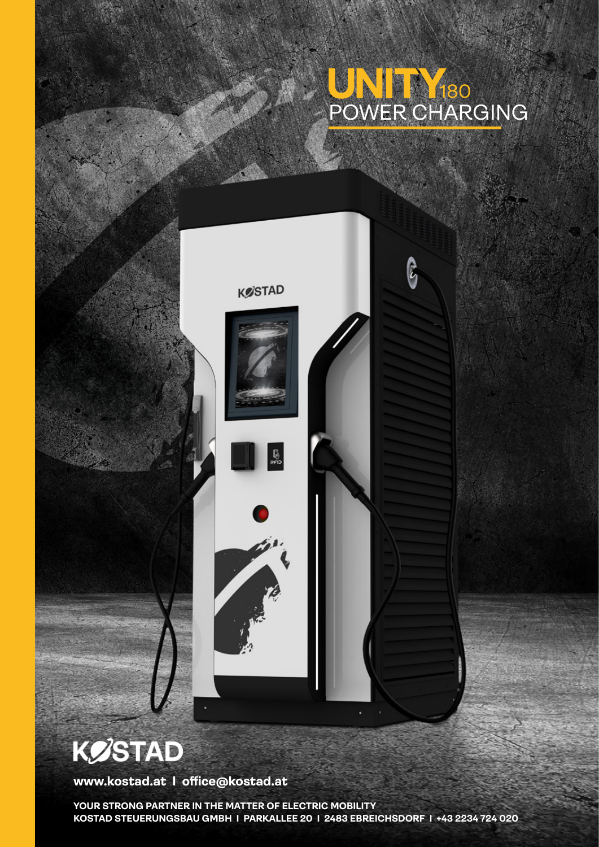## POWER CHARGING 180

ြို့



## **KØSTAD**

**www.kostad.at I office@kostad.at**

**YOUR STRONG PARTNER IN THE MATTER OF ELECTRIC MOBILITY KOSTAD STEUERUNGSBAU GMBH I PARKALLEE 20 I 2483 EBREICHSDORF I +43 2234 724 020**